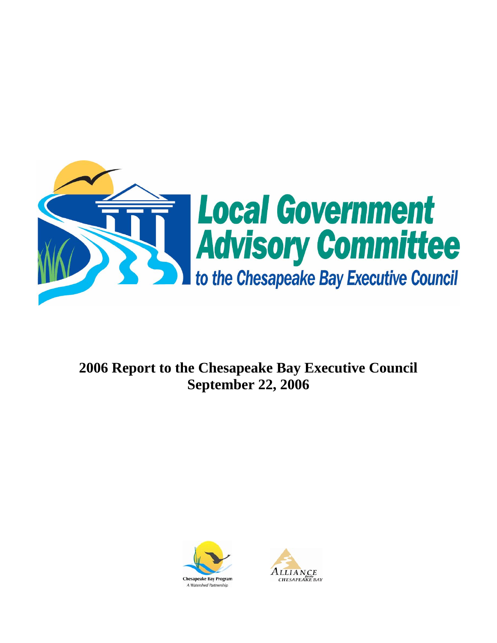

# **2006 Report to the Chesapeake Bay Executive Council September 22, 2006**



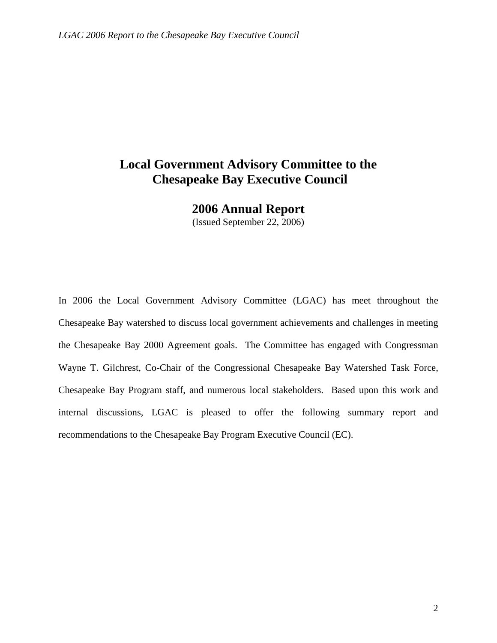# **Local Government Advisory Committee to the Chesapeake Bay Executive Council**

**2006 Annual Report** 

(Issued September 22, 2006)

In 2006 the Local Government Advisory Committee (LGAC) has meet throughout the Chesapeake Bay watershed to discuss local government achievements and challenges in meeting the Chesapeake Bay 2000 Agreement goals. The Committee has engaged with Congressman Wayne T. Gilchrest, Co-Chair of the Congressional Chesapeake Bay Watershed Task Force, Chesapeake Bay Program staff, and numerous local stakeholders. Based upon this work and internal discussions, LGAC is pleased to offer the following summary report and recommendations to the Chesapeake Bay Program Executive Council (EC).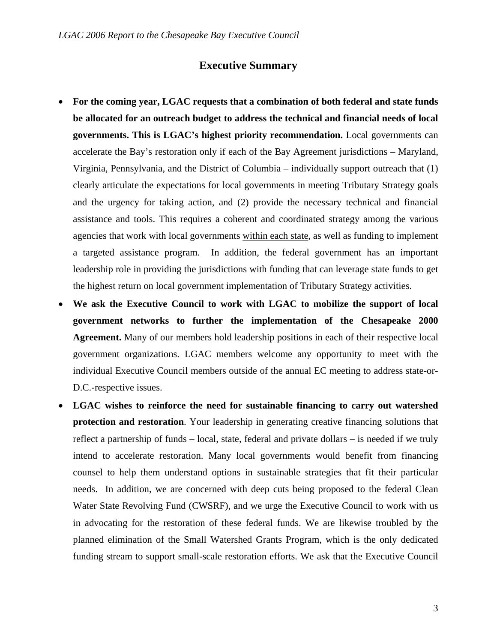# **Executive Summary**

- **For the coming year, LGAC requests that a combination of both federal and state funds be allocated for an outreach budget to address the technical and financial needs of local governments. This is LGAC's highest priority recommendation.** Local governments can accelerate the Bay's restoration only if each of the Bay Agreement jurisdictions – Maryland, Virginia, Pennsylvania, and the District of Columbia – individually support outreach that (1) clearly articulate the expectations for local governments in meeting Tributary Strategy goals and the urgency for taking action, and (2) provide the necessary technical and financial assistance and tools. This requires a coherent and coordinated strategy among the various agencies that work with local governments within each state, as well as funding to implement a targeted assistance program. In addition, the federal government has an important leadership role in providing the jurisdictions with funding that can leverage state funds to get the highest return on local government implementation of Tributary Strategy activities.
- **We ask the Executive Council to work with LGAC to mobilize the support of local government networks to further the implementation of the Chesapeake 2000 Agreement.** Many of our members hold leadership positions in each of their respective local government organizations. LGAC members welcome any opportunity to meet with the individual Executive Council members outside of the annual EC meeting to address state-or-D.C.-respective issues.
- **LGAC wishes to reinforce the need for sustainable financing to carry out watershed protection and restoration**. Your leadership in generating creative financing solutions that reflect a partnership of funds – local, state, federal and private dollars – is needed if we truly intend to accelerate restoration. Many local governments would benefit from financing counsel to help them understand options in sustainable strategies that fit their particular needs. In addition, we are concerned with deep cuts being proposed to the federal Clean Water State Revolving Fund (CWSRF), and we urge the Executive Council to work with us in advocating for the restoration of these federal funds. We are likewise troubled by the planned elimination of the Small Watershed Grants Program, which is the only dedicated funding stream to support small-scale restoration efforts. We ask that the Executive Council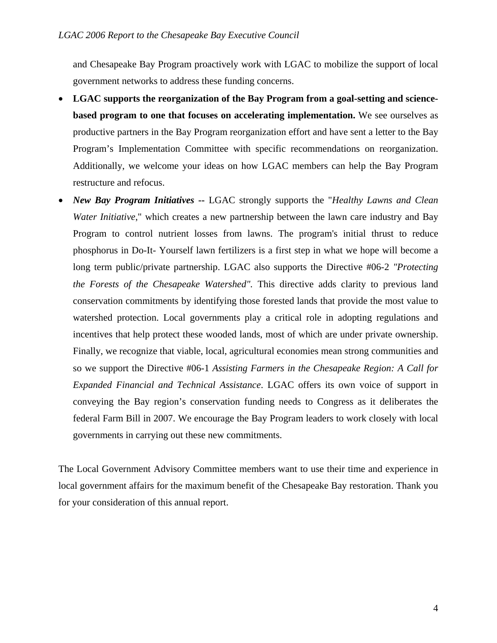and Chesapeake Bay Program proactively work with LGAC to mobilize the support of local government networks to address these funding concerns.

- **LGAC supports the reorganization of the Bay Program from a goal-setting and sciencebased program to one that focuses on accelerating implementation.** We see ourselves as productive partners in the Bay Program reorganization effort and have sent a letter to the Bay Program's Implementation Committee with specific recommendations on reorganization. Additionally, we welcome your ideas on how LGAC members can help the Bay Program restructure and refocus.
- *New Bay Program Initiatives* **--** LGAC strongly supports the "*Healthy Lawns and Clean Water Initiative*," which creates a new partnership between the lawn care industry and Bay Program to control nutrient losses from lawns. The program's initial thrust to reduce phosphorus in Do-It- Yourself lawn fertilizers is a first step in what we hope will become a long term public/private partnership. LGAC also supports the Directive #06-2 *"Protecting the Forests of the Chesapeake Watershed".* This directive adds clarity to previous land conservation commitments by identifying those forested lands that provide the most value to watershed protection. Local governments play a critical role in adopting regulations and incentives that help protect these wooded lands, most of which are under private ownership. Finally, we recognize that viable, local, agricultural economies mean strong communities and so we support the Directive #06-1 *Assisting Farmers in the Chesapeake Region: A Call for Expanded Financial and Technical Assistance*. LGAC offers its own voice of support in conveying the Bay region's conservation funding needs to Congress as it deliberates the federal Farm Bill in 2007. We encourage the Bay Program leaders to work closely with local governments in carrying out these new commitments.

The Local Government Advisory Committee members want to use their time and experience in local government affairs for the maximum benefit of the Chesapeake Bay restoration. Thank you for your consideration of this annual report.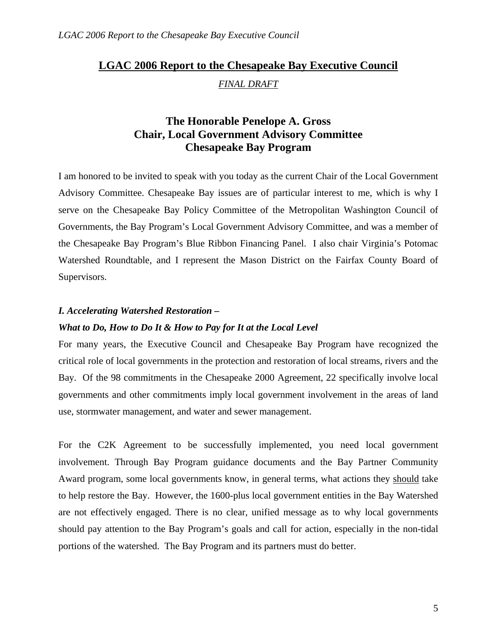# **LGAC 2006 Report to the Chesapeake Bay Executive Council** *FINAL DRAFT*

# **The Honorable Penelope A. Gross Chair, Local Government Advisory Committee Chesapeake Bay Program**

I am honored to be invited to speak with you today as the current Chair of the Local Government Advisory Committee. Chesapeake Bay issues are of particular interest to me, which is why I serve on the Chesapeake Bay Policy Committee of the Metropolitan Washington Council of Governments, the Bay Program's Local Government Advisory Committee, and was a member of the Chesapeake Bay Program's Blue Ribbon Financing Panel. I also chair Virginia's Potomac Watershed Roundtable, and I represent the Mason District on the Fairfax County Board of Supervisors.

### *I. Accelerating Watershed Restoration –*

### *What to Do, How to Do It & How to Pay for It at the Local Level*

For many years, the Executive Council and Chesapeake Bay Program have recognized the critical role of local governments in the protection and restoration of local streams, rivers and the Bay. Of the 98 commitments in the Chesapeake 2000 Agreement, 22 specifically involve local governments and other commitments imply local government involvement in the areas of land use, stormwater management, and water and sewer management.

For the C2K Agreement to be successfully implemented, you need local government involvement. Through Bay Program guidance documents and the Bay Partner Community Award program, some local governments know, in general terms, what actions they should take to help restore the Bay. However, the 1600-plus local government entities in the Bay Watershed are not effectively engaged. There is no clear, unified message as to why local governments should pay attention to the Bay Program's goals and call for action, especially in the non-tidal portions of the watershed. The Bay Program and its partners must do better.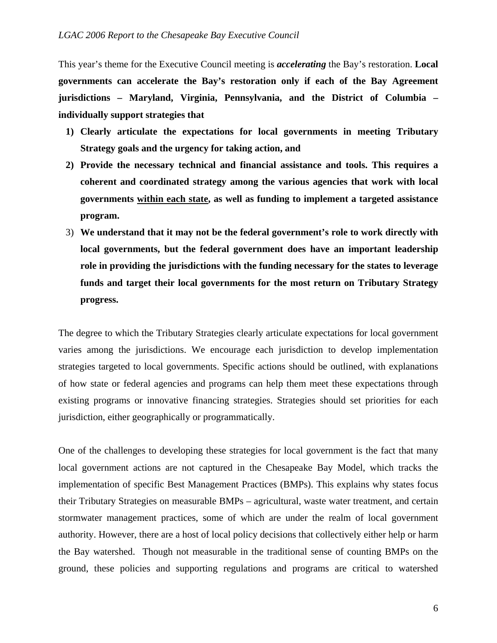This year's theme for the Executive Council meeting is *accelerating* the Bay's restoration. **Local governments can accelerate the Bay's restoration only if each of the Bay Agreement jurisdictions – Maryland, Virginia, Pennsylvania, and the District of Columbia – individually support strategies that** 

- **1) Clearly articulate the expectations for local governments in meeting Tributary Strategy goals and the urgency for taking action, and**
- **2) Provide the necessary technical and financial assistance and tools. This requires a coherent and coordinated strategy among the various agencies that work with local governments within each state, as well as funding to implement a targeted assistance program.**
- 3) **We understand that it may not be the federal government's role to work directly with local governments, but the federal government does have an important leadership role in providing the jurisdictions with the funding necessary for the states to leverage funds and target their local governments for the most return on Tributary Strategy progress.**

The degree to which the Tributary Strategies clearly articulate expectations for local government varies among the jurisdictions. We encourage each jurisdiction to develop implementation strategies targeted to local governments. Specific actions should be outlined, with explanations of how state or federal agencies and programs can help them meet these expectations through existing programs or innovative financing strategies. Strategies should set priorities for each jurisdiction, either geographically or programmatically.

One of the challenges to developing these strategies for local government is the fact that many local government actions are not captured in the Chesapeake Bay Model, which tracks the implementation of specific Best Management Practices (BMPs). This explains why states focus their Tributary Strategies on measurable BMPs – agricultural, waste water treatment, and certain stormwater management practices, some of which are under the realm of local government authority. However, there are a host of local policy decisions that collectively either help or harm the Bay watershed. Though not measurable in the traditional sense of counting BMPs on the ground, these policies and supporting regulations and programs are critical to watershed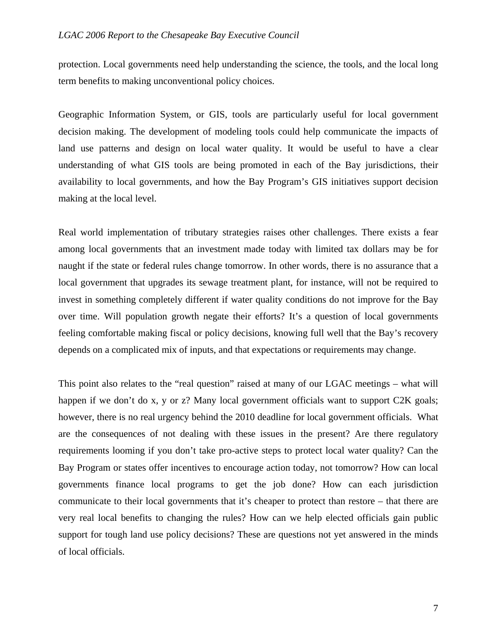#### *LGAC 2006 Report to the Chesapeake Bay Executive Council*

protection. Local governments need help understanding the science, the tools, and the local long term benefits to making unconventional policy choices.

Geographic Information System, or GIS, tools are particularly useful for local government decision making. The development of modeling tools could help communicate the impacts of land use patterns and design on local water quality. It would be useful to have a clear understanding of what GIS tools are being promoted in each of the Bay jurisdictions, their availability to local governments, and how the Bay Program's GIS initiatives support decision making at the local level.

Real world implementation of tributary strategies raises other challenges. There exists a fear among local governments that an investment made today with limited tax dollars may be for naught if the state or federal rules change tomorrow. In other words, there is no assurance that a local government that upgrades its sewage treatment plant, for instance, will not be required to invest in something completely different if water quality conditions do not improve for the Bay over time. Will population growth negate their efforts? It's a question of local governments feeling comfortable making fiscal or policy decisions, knowing full well that the Bay's recovery depends on a complicated mix of inputs, and that expectations or requirements may change.

This point also relates to the "real question" raised at many of our LGAC meetings – what will happen if we don't do x, y or z? Many local government officials want to support C2K goals; however, there is no real urgency behind the 2010 deadline for local government officials. What are the consequences of not dealing with these issues in the present? Are there regulatory requirements looming if you don't take pro-active steps to protect local water quality? Can the Bay Program or states offer incentives to encourage action today, not tomorrow? How can local governments finance local programs to get the job done? How can each jurisdiction communicate to their local governments that it's cheaper to protect than restore – that there are very real local benefits to changing the rules? How can we help elected officials gain public support for tough land use policy decisions? These are questions not yet answered in the minds of local officials.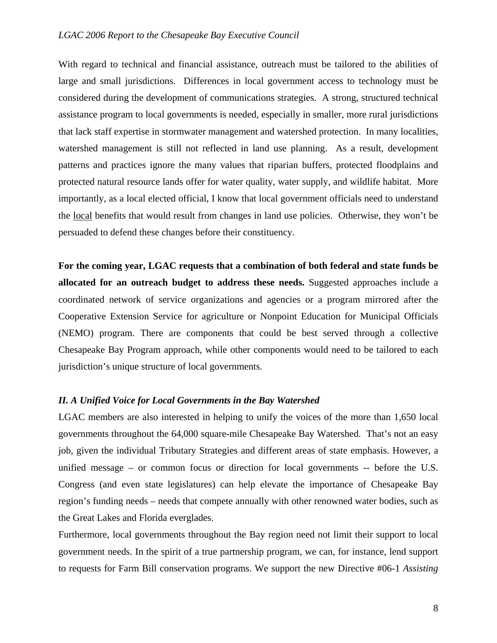#### *LGAC 2006 Report to the Chesapeake Bay Executive Council*

With regard to technical and financial assistance, outreach must be tailored to the abilities of large and small jurisdictions. Differences in local government access to technology must be considered during the development of communications strategies. A strong, structured technical assistance program to local governments is needed, especially in smaller, more rural jurisdictions that lack staff expertise in stormwater management and watershed protection. In many localities, watershed management is still not reflected in land use planning. As a result, development patterns and practices ignore the many values that riparian buffers, protected floodplains and protected natural resource lands offer for water quality, water supply, and wildlife habitat. More importantly, as a local elected official, I know that local government officials need to understand the local benefits that would result from changes in land use policies. Otherwise, they won't be persuaded to defend these changes before their constituency.

**For the coming year, LGAC requests that a combination of both federal and state funds be allocated for an outreach budget to address these needs.** Suggested approaches include a coordinated network of service organizations and agencies or a program mirrored after the Cooperative Extension Service for agriculture or Nonpoint Education for Municipal Officials (NEMO) program. There are components that could be best served through a collective Chesapeake Bay Program approach, while other components would need to be tailored to each jurisdiction's unique structure of local governments.

#### *II. A Unified Voice for Local Governments in the Bay Watershed*

LGAC members are also interested in helping to unify the voices of the more than 1,650 local governments throughout the 64,000 square-mile Chesapeake Bay Watershed. That's not an easy job, given the individual Tributary Strategies and different areas of state emphasis. However, a unified message – or common focus or direction for local governments -- before the U.S. Congress (and even state legislatures) can help elevate the importance of Chesapeake Bay region's funding needs – needs that compete annually with other renowned water bodies, such as the Great Lakes and Florida everglades.

Furthermore, local governments throughout the Bay region need not limit their support to local government needs. In the spirit of a true partnership program, we can, for instance, lend support to requests for Farm Bill conservation programs. We support the new Directive #06-1 *Assisting*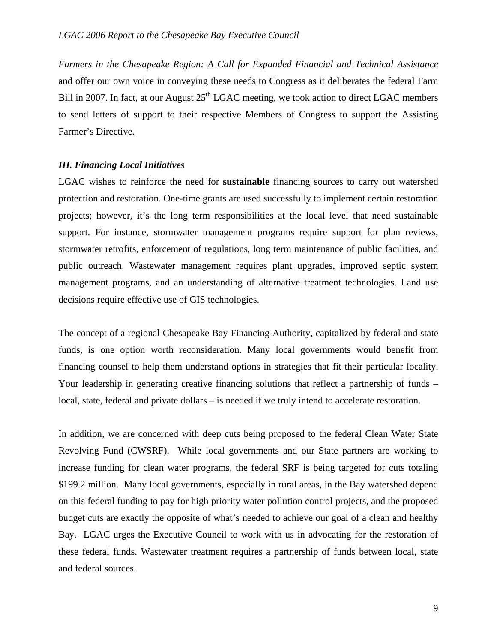*Farmers in the Chesapeake Region: A Call for Expanded Financial and Technical Assistance* and offer our own voice in conveying these needs to Congress as it deliberates the federal Farm Bill in 2007. In fact, at our August  $25<sup>th</sup> LGAC$  meeting, we took action to direct LGAC members to send letters of support to their respective Members of Congress to support the Assisting Farmer's Directive.

#### *III. Financing Local Initiatives*

LGAC wishes to reinforce the need for **sustainable** financing sources to carry out watershed protection and restoration. One-time grants are used successfully to implement certain restoration projects; however, it's the long term responsibilities at the local level that need sustainable support. For instance, stormwater management programs require support for plan reviews, stormwater retrofits, enforcement of regulations, long term maintenance of public facilities, and public outreach. Wastewater management requires plant upgrades, improved septic system management programs, and an understanding of alternative treatment technologies. Land use decisions require effective use of GIS technologies.

The concept of a regional Chesapeake Bay Financing Authority, capitalized by federal and state funds, is one option worth reconsideration. Many local governments would benefit from financing counsel to help them understand options in strategies that fit their particular locality. Your leadership in generating creative financing solutions that reflect a partnership of funds – local, state, federal and private dollars – is needed if we truly intend to accelerate restoration.

In addition, we are concerned with deep cuts being proposed to the federal Clean Water State Revolving Fund (CWSRF). While local governments and our State partners are working to increase funding for clean water programs, the federal SRF is being targeted for cuts totaling \$199.2 million. Many local governments, especially in rural areas, in the Bay watershed depend on this federal funding to pay for high priority water pollution control projects, and the proposed budget cuts are exactly the opposite of what's needed to achieve our goal of a clean and healthy Bay. LGAC urges the Executive Council to work with us in advocating for the restoration of these federal funds. Wastewater treatment requires a partnership of funds between local, state and federal sources.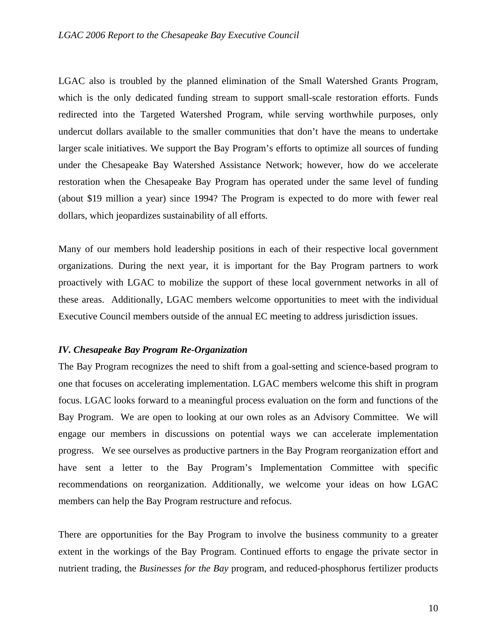LGAC also is troubled by the planned elimination of the Small Watershed Grants Program, which is the only dedicated funding stream to support small-scale restoration efforts. Funds redirected into the Targeted Watershed Program, while serving worthwhile purposes, only undercut dollars available to the smaller communities that don't have the means to undertake larger scale initiatives. We support the Bay Program's efforts to optimize all sources of funding under the Chesapeake Bay Watershed Assistance Network; however, how do we accelerate restoration when the Chesapeake Bay Program has operated under the same level of funding (about \$19 million a year) since 1994? The Program is expected to do more with fewer real dollars, which jeopardizes sustainability of all efforts.

Many of our members hold leadership positions in each of their respective local government organizations. During the next year, it is important for the Bay Program partners to work proactively with LGAC to mobilize the support of these local government networks in all of these areas. Additionally, LGAC members welcome opportunities to meet with the individual Executive Council members outside of the annual EC meeting to address jurisdiction issues.

#### *IV. Chesapeake Bay Program Re-Organization*

The Bay Program recognizes the need to shift from a goal-setting and science-based program to one that focuses on accelerating implementation. LGAC members welcome this shift in program focus. LGAC looks forward to a meaningful process evaluation on the form and functions of the Bay Program. We are open to looking at our own roles as an Advisory Committee. We will engage our members in discussions on potential ways we can accelerate implementation progress. We see ourselves as productive partners in the Bay Program reorganization effort and have sent a letter to the Bay Program's Implementation Committee with specific recommendations on reorganization. Additionally, we welcome your ideas on how LGAC members can help the Bay Program restructure and refocus.

There are opportunities for the Bay Program to involve the business community to a greater extent in the workings of the Bay Program. Continued efforts to engage the private sector in nutrient trading, the *Businesses for the Bay* program, and reduced-phosphorus fertilizer products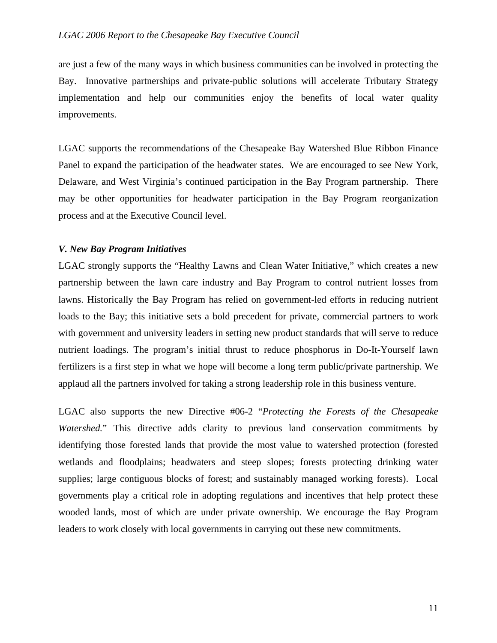are just a few of the many ways in which business communities can be involved in protecting the Bay. Innovative partnerships and private-public solutions will accelerate Tributary Strategy implementation and help our communities enjoy the benefits of local water quality improvements.

LGAC supports the recommendations of the Chesapeake Bay Watershed Blue Ribbon Finance Panel to expand the participation of the headwater states. We are encouraged to see New York, Delaware, and West Virginia's continued participation in the Bay Program partnership. There may be other opportunities for headwater participation in the Bay Program reorganization process and at the Executive Council level.

#### *V. New Bay Program Initiatives*

LGAC strongly supports the "Healthy Lawns and Clean Water Initiative," which creates a new partnership between the lawn care industry and Bay Program to control nutrient losses from lawns. Historically the Bay Program has relied on government-led efforts in reducing nutrient loads to the Bay; this initiative sets a bold precedent for private, commercial partners to work with government and university leaders in setting new product standards that will serve to reduce nutrient loadings. The program's initial thrust to reduce phosphorus in Do-It-Yourself lawn fertilizers is a first step in what we hope will become a long term public/private partnership. We applaud all the partners involved for taking a strong leadership role in this business venture.

LGAC also supports the new Directive #06-2 "*Protecting the Forests of the Chesapeake Watershed.*" This directive adds clarity to previous land conservation commitments by identifying those forested lands that provide the most value to watershed protection (forested wetlands and floodplains; headwaters and steep slopes; forests protecting drinking water supplies; large contiguous blocks of forest; and sustainably managed working forests). Local governments play a critical role in adopting regulations and incentives that help protect these wooded lands, most of which are under private ownership. We encourage the Bay Program leaders to work closely with local governments in carrying out these new commitments.